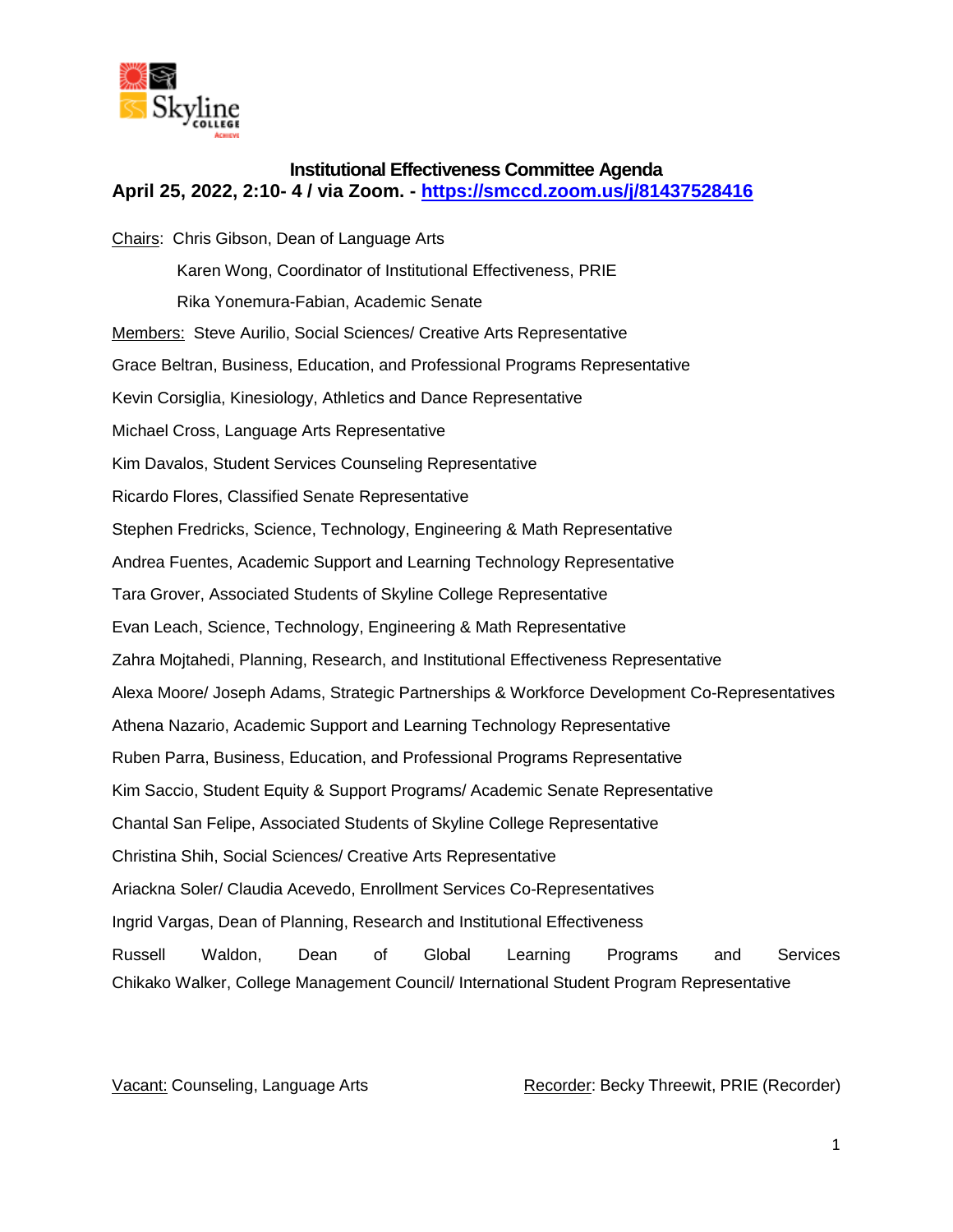

## **Institutional Effectiveness Committee Agenda April 25, 2022, 2:10- 4 / via Zoom. - <https://smccd.zoom.us/j/81437528416>**

Chairs: Chris Gibson, Dean of Language Arts Karen Wong, Coordinator of Institutional Effectiveness, PRIE Rika Yonemura-Fabian, Academic Senate Members: Steve Aurilio, Social Sciences/ Creative Arts Representative Grace Beltran, Business, Education, and Professional Programs Representative Kevin Corsiglia, Kinesiology, Athletics and Dance Representative Michael Cross, Language Arts Representative Kim Davalos, Student Services Counseling Representative Ricardo Flores, Classified Senate Representative Stephen Fredricks, Science, Technology, Engineering & Math Representative Andrea Fuentes, Academic Support and Learning Technology Representative Tara Grover, Associated Students of Skyline College Representative Evan Leach, Science, Technology, Engineering & Math Representative Zahra Mojtahedi, Planning, Research, and Institutional Effectiveness Representative Alexa Moore/ Joseph Adams, Strategic Partnerships & Workforce Development Co-Representatives Athena Nazario, Academic Support and Learning Technology Representative Ruben Parra, Business, Education, and Professional Programs Representative Kim Saccio, Student Equity & Support Programs/ Academic Senate Representative Chantal San Felipe, Associated Students of Skyline College Representative Christina Shih, Social Sciences/ Creative Arts Representative Ariackna Soler/ Claudia Acevedo, Enrollment Services Co-Representatives Ingrid Vargas, Dean of Planning, Research and Institutional Effectiveness Russell Waldon, Dean of Global Learning Programs and Services Chikako Walker, College Management Council/ International Student Program Representative

Vacant: Counseling, Language Arts **Recorder: Becky Threewit, PRIE (Recorder)** Recorder)